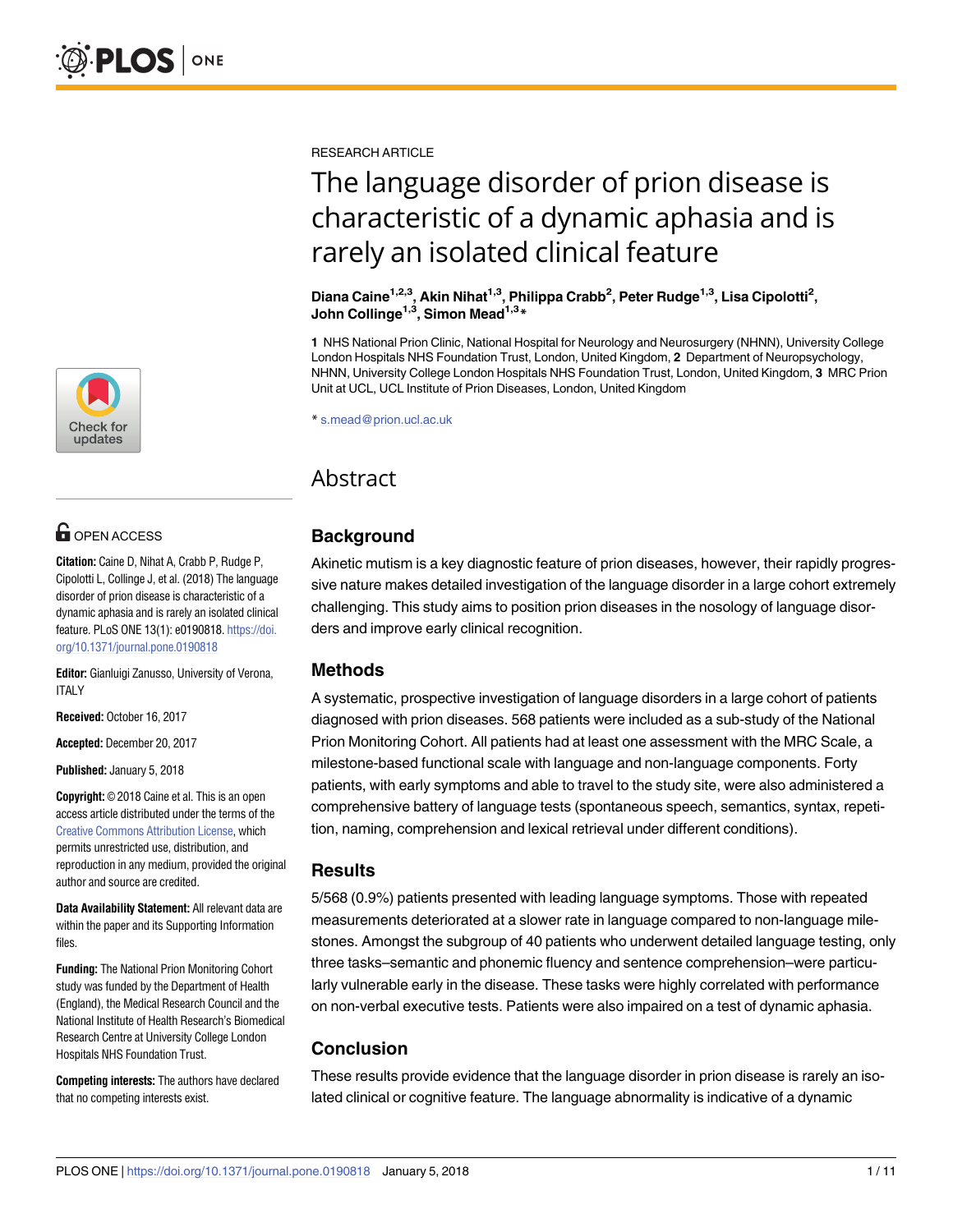

# **O** OPEN ACCESS

**Citation:** Caine D, Nihat A, Crabb P, Rudge P, Cipolotti L, Collinge J, et al. (2018) The language disorder of prion disease is characteristic of a dynamic aphasia and is rarely an isolated clinical feature. PLoS ONE 13(1): e0190818. [https://doi.](https://doi.org/10.1371/journal.pone.0190818) [org/10.1371/journal.pone.0190818](https://doi.org/10.1371/journal.pone.0190818)

**Editor:** Gianluigi Zanusso, University of Verona, ITALY

**Received:** October 16, 2017

**Accepted:** December 20, 2017

**Published:** January 5, 2018

**Copyright:** © 2018 Caine et al. This is an open access article distributed under the terms of the Creative Commons [Attribution](http://creativecommons.org/licenses/by/4.0/) License, which permits unrestricted use, distribution, and reproduction in any medium, provided the original author and source are credited.

**Data Availability Statement:** All relevant data are within the paper and its Supporting Information files.

**Funding:** The National Prion Monitoring Cohort study was funded by the Department of Health (England), the Medical Research Council and the National Institute of Health Research's Biomedical Research Centre at University College London Hospitals NHS Foundation Trust.

**Competing interests:** The authors have declared that no competing interests exist.

RESEARCH ARTICLE

# The language disorder of prion disease is characteristic of a dynamic aphasia and is rarely an isolated clinical feature

**Diana Caine1,2,3, Akin Nihat1,3, Philippa Crabb2 , Peter Rudge1,3, Lisa Cipolotti2 , John Collinge1,3, Simon Mead1,3\***

**1** NHS National Prion Clinic, National Hospital for Neurology and Neurosurgery (NHNN), University College London Hospitals NHS Foundation Trust, London, United Kingdom, **2** Department of Neuropsychology, NHNN, University College London Hospitals NHS Foundation Trust, London, United Kingdom, **3** MRC Prion Unit at UCL, UCL Institute of Prion Diseases, London, United Kingdom

\* s.mead@prion.ucl.ac.uk

# Abstract

# **Background**

Akinetic mutism is a key diagnostic feature of prion diseases, however, their rapidly progressive nature makes detailed investigation of the language disorder in a large cohort extremely challenging. This study aims to position prion diseases in the nosology of language disorders and improve early clinical recognition.

# **Methods**

A systematic, prospective investigation of language disorders in a large cohort of patients diagnosed with prion diseases. 568 patients were included as a sub-study of the National Prion Monitoring Cohort. All patients had at least one assessment with the MRC Scale, a milestone-based functional scale with language and non-language components. Forty patients, with early symptoms and able to travel to the study site, were also administered a comprehensive battery of language tests (spontaneous speech, semantics, syntax, repetition, naming, comprehension and lexical retrieval under different conditions).

### **Results**

5/568 (0.9%) patients presented with leading language symptoms. Those with repeated measurements deteriorated at a slower rate in language compared to non-language milestones. Amongst the subgroup of 40 patients who underwent detailed language testing, only three tasks–semantic and phonemic fluency and sentence comprehension–were particularly vulnerable early in the disease. These tasks were highly correlated with performance on non-verbal executive tests. Patients were also impaired on a test of dynamic aphasia.

# **Conclusion**

These results provide evidence that the language disorder in prion disease is rarely an isolated clinical or cognitive feature. The language abnormality is indicative of a dynamic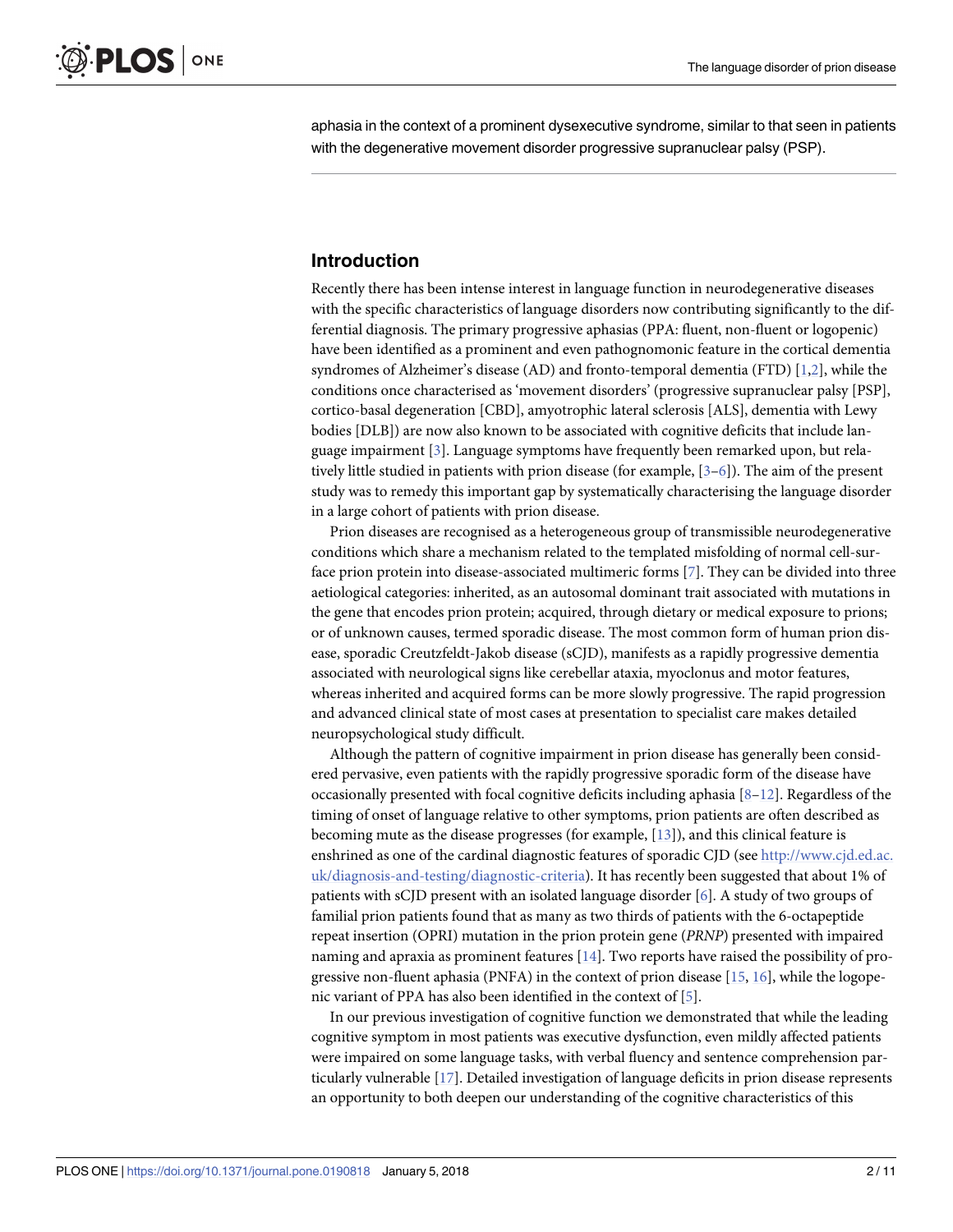<span id="page-1-0"></span>aphasia in the context of a prominent dysexecutive syndrome, similar to that seen in patients with the degenerative movement disorder progressive supranuclear palsy (PSP).

### **Introduction**

Recently there has been intense interest in language function in neurodegenerative diseases with the specific characteristics of language disorders now contributing significantly to the differential diagnosis. The primary progressive aphasias (PPA: fluent, non-fluent or logopenic) have been identified as a prominent and even pathognomonic feature in the cortical dementia syndromes of Alzheimer's disease (AD) and fronto-temporal dementia (FTD) [\[1,2](#page-9-0)], while the conditions once characterised as 'movement disorders' (progressive supranuclear palsy [PSP], cortico-basal degeneration [CBD], amyotrophic lateral sclerosis [ALS], dementia with Lewy bodies [DLB]) are now also known to be associated with cognitive deficits that include language impairment [[3](#page-9-0)]. Language symptoms have frequently been remarked upon, but relatively little studied in patients with prion disease (for example, [\[3–6\]](#page-9-0)). The aim of the present study was to remedy this important gap by systematically characterising the language disorder in a large cohort of patients with prion disease.

Prion diseases are recognised as a heterogeneous group of transmissible neurodegenerative conditions which share a mechanism related to the templated misfolding of normal cell-surface prion protein into disease-associated multimeric forms [\[7\]](#page-9-0). They can be divided into three aetiological categories: inherited, as an autosomal dominant trait associated with mutations in the gene that encodes prion protein; acquired, through dietary or medical exposure to prions; or of unknown causes, termed sporadic disease. The most common form of human prion disease, sporadic Creutzfeldt-Jakob disease (sCJD), manifests as a rapidly progressive dementia associated with neurological signs like cerebellar ataxia, myoclonus and motor features, whereas inherited and acquired forms can be more slowly progressive. The rapid progression and advanced clinical state of most cases at presentation to specialist care makes detailed neuropsychological study difficult.

Although the pattern of cognitive impairment in prion disease has generally been considered pervasive, even patients with the rapidly progressive sporadic form of the disease have occasionally presented with focal cognitive deficits including aphasia  $[8-12]$ . Regardless of the timing of onset of language relative to other symptoms, prion patients are often described as becoming mute as the disease progresses (for example, [[13](#page-9-0)]), and this clinical feature is enshrined as one of the cardinal diagnostic features of sporadic CJD (see [http://www.cjd.ed.ac.](http://www.cjd.ed.ac.uk/diagnosis-and-testing/diagnostic-criteria) [uk/diagnosis-and-testing/diagnostic-criteria\)](http://www.cjd.ed.ac.uk/diagnosis-and-testing/diagnostic-criteria). It has recently been suggested that about 1% of patients with sCJD present with an isolated language disorder [\[6\]](#page-9-0). A study of two groups of familial prion patients found that as many as two thirds of patients with the 6-octapeptide repeat insertion (OPRI) mutation in the prion protein gene (*PRNP*) presented with impaired naming and apraxia as prominent features [\[14\]](#page-9-0). Two reports have raised the possibility of progressive non-fluent aphasia (PNFA) in the context of prion disease  $[15, 16]$  $[15, 16]$  $[15, 16]$ , while the logopenic variant of PPA has also been identified in the context of [[5](#page-9-0)].

In our previous investigation of cognitive function we demonstrated that while the leading cognitive symptom in most patients was executive dysfunction, even mildly affected patients were impaired on some language tasks, with verbal fluency and sentence comprehension particularly vulnerable [\[17\]](#page-10-0). Detailed investigation of language deficits in prion disease represents an opportunity to both deepen our understanding of the cognitive characteristics of this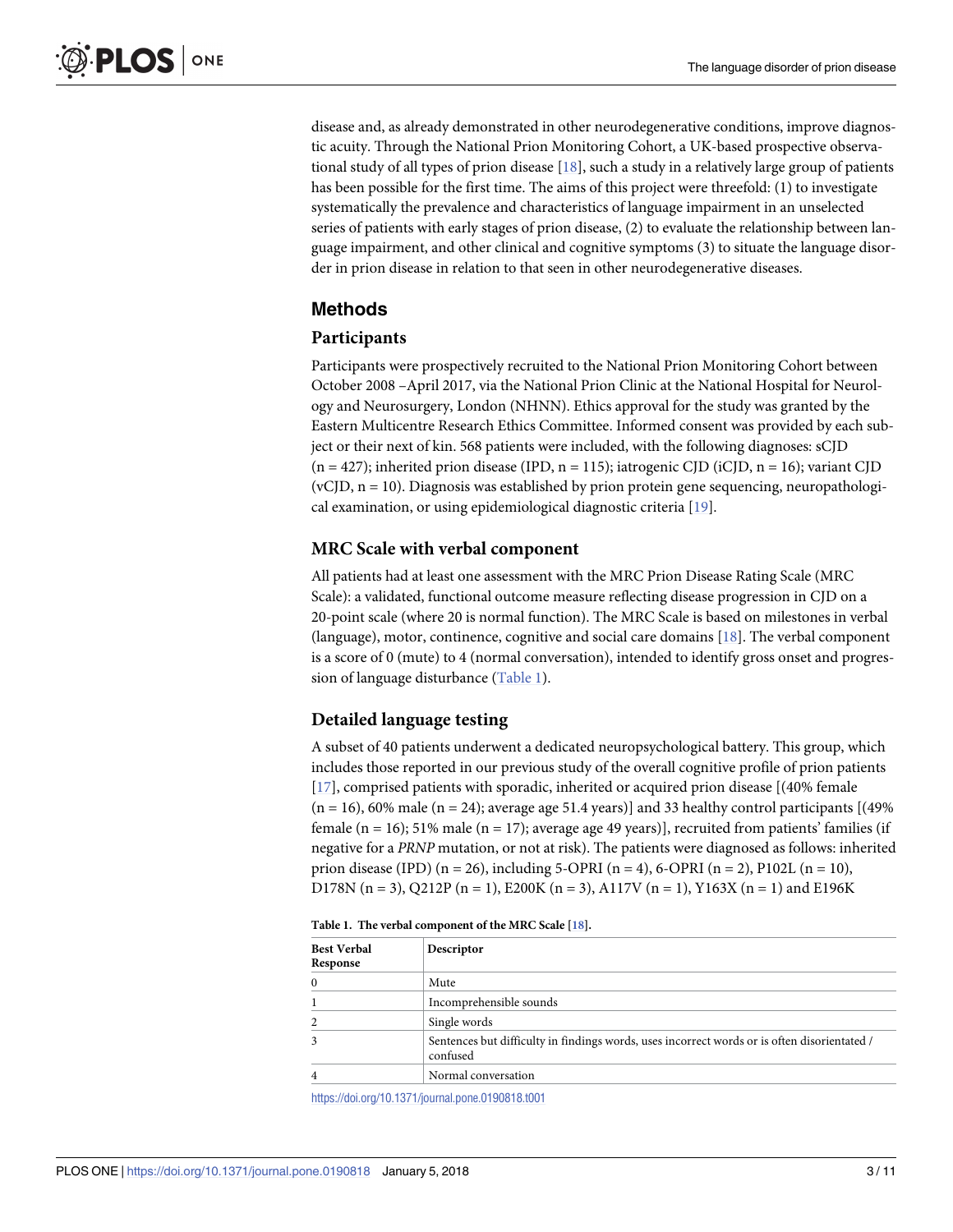<span id="page-2-0"></span>disease and, as already demonstrated in other neurodegenerative conditions, improve diagnostic acuity. Through the National Prion Monitoring Cohort, a UK-based prospective observational study of all types of prion disease [[18](#page-10-0)], such a study in a relatively large group of patients has been possible for the first time. The aims of this project were threefold: (1) to investigate systematically the prevalence and characteristics of language impairment in an unselected series of patients with early stages of prion disease, (2) to evaluate the relationship between language impairment, and other clinical and cognitive symptoms (3) to situate the language disorder in prion disease in relation to that seen in other neurodegenerative diseases.

# **Methods**

### **Participants**

Participants were prospectively recruited to the National Prion Monitoring Cohort between October 2008 –April 2017, via the National Prion Clinic at the National Hospital for Neurology and Neurosurgery, London (NHNN). Ethics approval for the study was granted by the Eastern Multicentre Research Ethics Committee. Informed consent was provided by each subject or their next of kin. 568 patients were included, with the following diagnoses: sCJD  $(n = 427)$ ; inherited prion disease (IPD,  $n = 115$ ); iatrogenic CJD (iCJD,  $n = 16$ ); variant CJD  $(vCJD, n = 10)$ . Diagnosis was established by prion protein gene sequencing, neuropathological examination, or using epidemiological diagnostic criteria [[19](#page-10-0)].

### **MRC Scale with verbal component**

All patients had at least one assessment with the MRC Prion Disease Rating Scale (MRC Scale): a validated, functional outcome measure reflecting disease progression in CJD on a 20-point scale (where 20 is normal function). The MRC Scale is based on milestones in verbal (language), motor, continence, cognitive and social care domains [\[18\]](#page-10-0). The verbal component is a score of 0 (mute) to 4 (normal conversation), intended to identify gross onset and progression of language disturbance (Table 1).

### **Detailed language testing**

A subset of 40 patients underwent a dedicated neuropsychological battery. This group, which includes those reported in our previous study of the overall cognitive profile of prion patients [\[17\]](#page-10-0), comprised patients with sporadic, inherited or acquired prion disease [(40% female  $(n = 16)$ , 60% male  $(n = 24)$ ; average age 51.4 years) and 33 healthy control participants  $(49\%)$ female (n = 16); 51% male (n = 17); average age 49 years)], recruited from patients' families (if negative for a *PRNP* mutation, or not at risk). The patients were diagnosed as follows: inherited prion disease (IPD)  $(n = 26)$ , including 5-OPRI  $(n = 4)$ , 6-OPRI  $(n = 2)$ , P102L  $(n = 10)$ , D178N (n = 3), Q212P (n = 1), E200K (n = 3), A117V (n = 1), Y163X (n = 1) and E196K

**Table 1. The verbal component of the MRC Scale [\[18](#page-10-0)].**

| <b>Best Verbal</b><br>Response | Descriptor                                                                                               |
|--------------------------------|----------------------------------------------------------------------------------------------------------|
|                                | Mute                                                                                                     |
|                                | Incomprehensible sounds                                                                                  |
|                                | Single words                                                                                             |
|                                | Sentences but difficulty in findings words, uses incorrect words or is often disorientated /<br>confused |
|                                | Normal conversation                                                                                      |

<https://doi.org/10.1371/journal.pone.0190818.t001>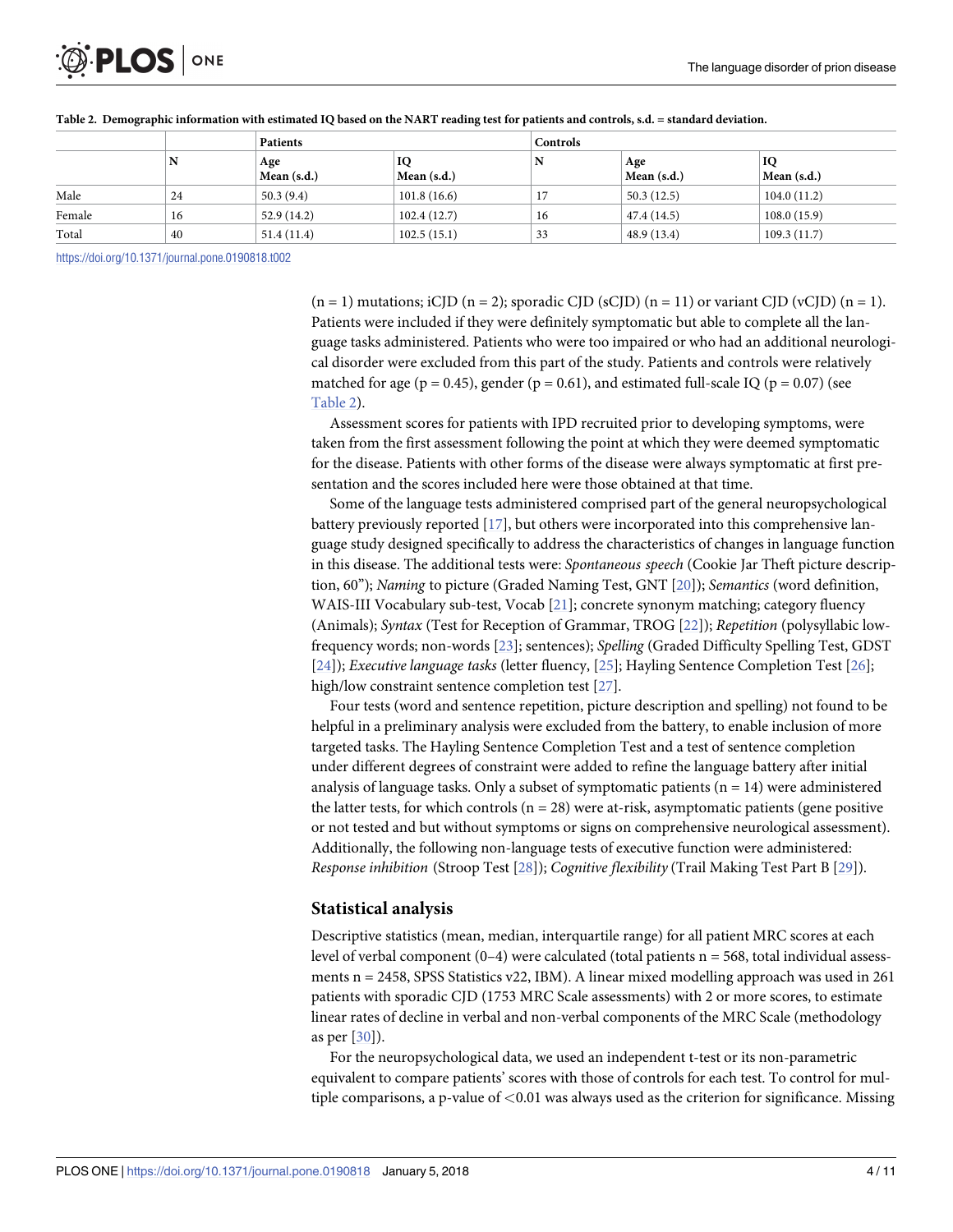<span id="page-3-0"></span>

|        |    | Patients             |                     | Controls |                      |                   |  |
|--------|----|----------------------|---------------------|----------|----------------------|-------------------|--|
|        | N  | Age<br>Mean $(s.d.)$ | 10<br>Mean $(s.d.)$ |          | Age<br>Mean $(s.d.)$ | IQ<br>Mean (s.d.) |  |
| Male   | 24 | 50.3(9.4)            | 101.8(16.6)         |          | 50.3(12.5)           | 104.0(11.2)       |  |
| Female | 16 | 52.9(14.2)           | 102.4(12.7)         | 16       | 47.4 (14.5)          | 108.0(15.9)       |  |
| Total  | 40 | 51.4(11.4)           | 102.5(15.1)         | 33       | 48.9 (13.4)          | 109.3(11.7)       |  |

#### Table 2. Demographic information with estimated IQ based on the NART reading test for patients and controls, s.d. = standard deviation.

<https://doi.org/10.1371/journal.pone.0190818.t002>

 $(n = 1)$  mutations; iCJD  $(n = 2)$ ; sporadic CJD  $(sCJD)$   $(n = 11)$  or variant CJD  $(vCJD)$   $(n = 1)$ . Patients were included if they were definitely symptomatic but able to complete all the language tasks administered. Patients who were too impaired or who had an additional neurological disorder were excluded from this part of the study. Patients and controls were relatively matched for age ( $p = 0.45$ ), gender ( $p = 0.61$ ), and estimated full-scale IQ ( $p = 0.07$ ) (see Table 2).

Assessment scores for patients with IPD recruited prior to developing symptoms, were taken from the first assessment following the point at which they were deemed symptomatic for the disease. Patients with other forms of the disease were always symptomatic at first presentation and the scores included here were those obtained at that time.

Some of the language tests administered comprised part of the general neuropsychological battery previously reported [[17](#page-10-0)], but others were incorporated into this comprehensive language study designed specifically to address the characteristics of changes in language function in this disease. The additional tests were: *Spontaneous speech* (Cookie Jar Theft picture description, 60"); *Naming* to picture (Graded Naming Test, GNT [[20](#page-10-0)]); *Semantics* (word definition, WAIS-III Vocabulary sub-test, Vocab [[21](#page-10-0)]; concrete synonym matching; category fluency (Animals); *Syntax* (Test for Reception of Grammar, TROG [\[22\]](#page-10-0)); *Repetition* (polysyllabic lowfrequency words; non-words [\[23\]](#page-10-0); sentences); *Spelling* (Graded Difficulty Spelling Test, GDST [\[24\]](#page-10-0)); *Executive language tasks* (letter fluency, [[25](#page-10-0)]; Hayling Sentence Completion Test [[26](#page-10-0)]; high/low constraint sentence completion test [\[27\]](#page-10-0).

Four tests (word and sentence repetition, picture description and spelling) not found to be helpful in a preliminary analysis were excluded from the battery, to enable inclusion of more targeted tasks. The Hayling Sentence Completion Test and a test of sentence completion under different degrees of constraint were added to refine the language battery after initial analysis of language tasks. Only a subset of symptomatic patients  $(n = 14)$  were administered the latter tests, for which controls  $(n = 28)$  were at-risk, asymptomatic patients (gene positive or not tested and but without symptoms or signs on comprehensive neurological assessment). Additionally, the following non-language tests of executive function were administered: *Response inhibition* (Stroop Test [\[28\]](#page-10-0)); *Cognitive flexibility* (Trail Making Test Part B [[29](#page-10-0)]).

### **Statistical analysis**

Descriptive statistics (mean, median, interquartile range) for all patient MRC scores at each level of verbal component  $(0-4)$  were calculated (total patients  $n = 568$ , total individual assessments n = 2458, SPSS Statistics v22, IBM). A linear mixed modelling approach was used in 261 patients with sporadic CJD (1753 MRC Scale assessments) with 2 or more scores, to estimate linear rates of decline in verbal and non-verbal components of the MRC Scale (methodology as per [[30](#page-10-0)]).

For the neuropsychological data, we used an independent t-test or its non-parametric equivalent to compare patients' scores with those of controls for each test. To control for multiple comparisons, a p-value of *<*0.01 was always used as the criterion for significance. Missing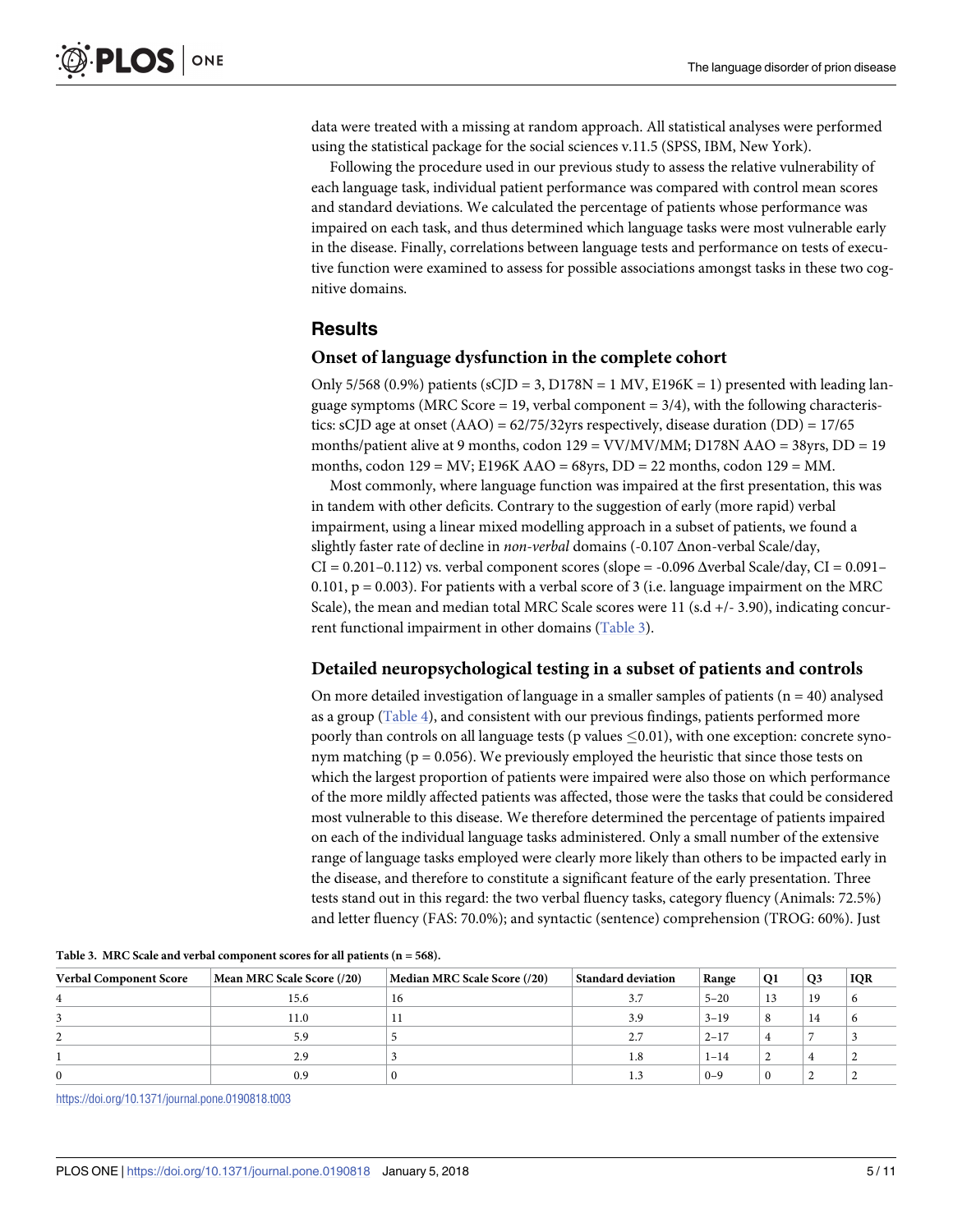<span id="page-4-0"></span>data were treated with a missing at random approach. All statistical analyses were performed using the statistical package for the social sciences v.11.5 (SPSS, IBM, New York).

Following the procedure used in our previous study to assess the relative vulnerability of each language task, individual patient performance was compared with control mean scores and standard deviations. We calculated the percentage of patients whose performance was impaired on each task, and thus determined which language tasks were most vulnerable early in the disease. Finally, correlations between language tests and performance on tests of executive function were examined to assess for possible associations amongst tasks in these two cognitive domains.

### **Results**

### **Onset of language dysfunction in the complete cohort**

Only 5/568 (0.9%) patients (sCJD = 3, D178N = 1 MV, E196K = 1) presented with leading language symptoms (MRC Score = 19, verbal component =  $3/4$ ), with the following characteristics: sCJD age at onset  $(AAO) = 62/75/32$ yrs respectively, disease duration  $(DD) = 17/65$ months/patient alive at 9 months, codon 129 = VV/MV/MM; D178N AAO = 38yrs, DD = 19 months, codon  $129 = MV$ ; E196K AAO = 68yrs, DD = 22 months, codon  $129 = MM$ .

Most commonly, where language function was impaired at the first presentation, this was in tandem with other deficits. Contrary to the suggestion of early (more rapid) verbal impairment, using a linear mixed modelling approach in a subset of patients, we found a slightly faster rate of decline in *non-verbal* domains (-0.107 Δnon-verbal Scale/day,  $CI = 0.201 - 0.112$ ) vs. verbal component scores (slope =  $-0.096$   $\Delta$ verbal Scale/day,  $CI = 0.091 -$ 0.101,  $p = 0.003$ ). For patients with a verbal score of 3 (i.e. language impairment on the MRC Scale), the mean and median total MRC Scale scores were 11 (s.d  $+/-3.90$ ), indicating concurrent functional impairment in other domains (Table 3).

### **Detailed neuropsychological testing in a subset of patients and controls**

On more detailed investigation of language in a smaller samples of patients  $(n = 40)$  analysed as a group [\(Table](#page-5-0) 4), and consistent with our previous findings, patients performed more poorly than controls on all language tests (p values  $\leq 0.01$ ), with one exception: concrete synonym matching ( $p = 0.056$ ). We previously employed the heuristic that since those tests on which the largest proportion of patients were impaired were also those on which performance of the more mildly affected patients was affected, those were the tasks that could be considered most vulnerable to this disease. We therefore determined the percentage of patients impaired on each of the individual language tasks administered. Only a small number of the extensive range of language tasks employed were clearly more likely than others to be impacted early in the disease, and therefore to constitute a significant feature of the early presentation. Three tests stand out in this regard: the two verbal fluency tasks, category fluency (Animals: 72.5%) and letter fluency (FAS: 70.0%); and syntactic (sentence) comprehension (TROG: 60%). Just

| <b>Verbal Component Score</b> | Mean MRC Scale Score (/20) | Median MRC Scale Score (/20) | <b>Standard deviation</b> | Range    | Q1                   | Q <sub>3</sub> | <b>IQR</b> |
|-------------------------------|----------------------------|------------------------------|---------------------------|----------|----------------------|----------------|------------|
|                               | 15.6                       | 16                           | 3.7                       | $5 - 20$ | 1 <sub>2</sub><br>15 | 19             |            |
|                               | 11.0                       | 11                           | 3.9                       | $3 - 19$ |                      | 14             |            |
|                               | 5.9                        |                              | 2.7                       | $2 - 17$ |                      |                |            |
|                               | 2.9                        |                              | 1.8                       | $1 - 14$ |                      |                |            |
| $^{0}$                        | 0.9                        |                              | ل. 1                      | $0 - 9$  |                      |                |            |

**Table 3. MRC Scale and verbal component scores for all patients (n = 568).**

<https://doi.org/10.1371/journal.pone.0190818.t003>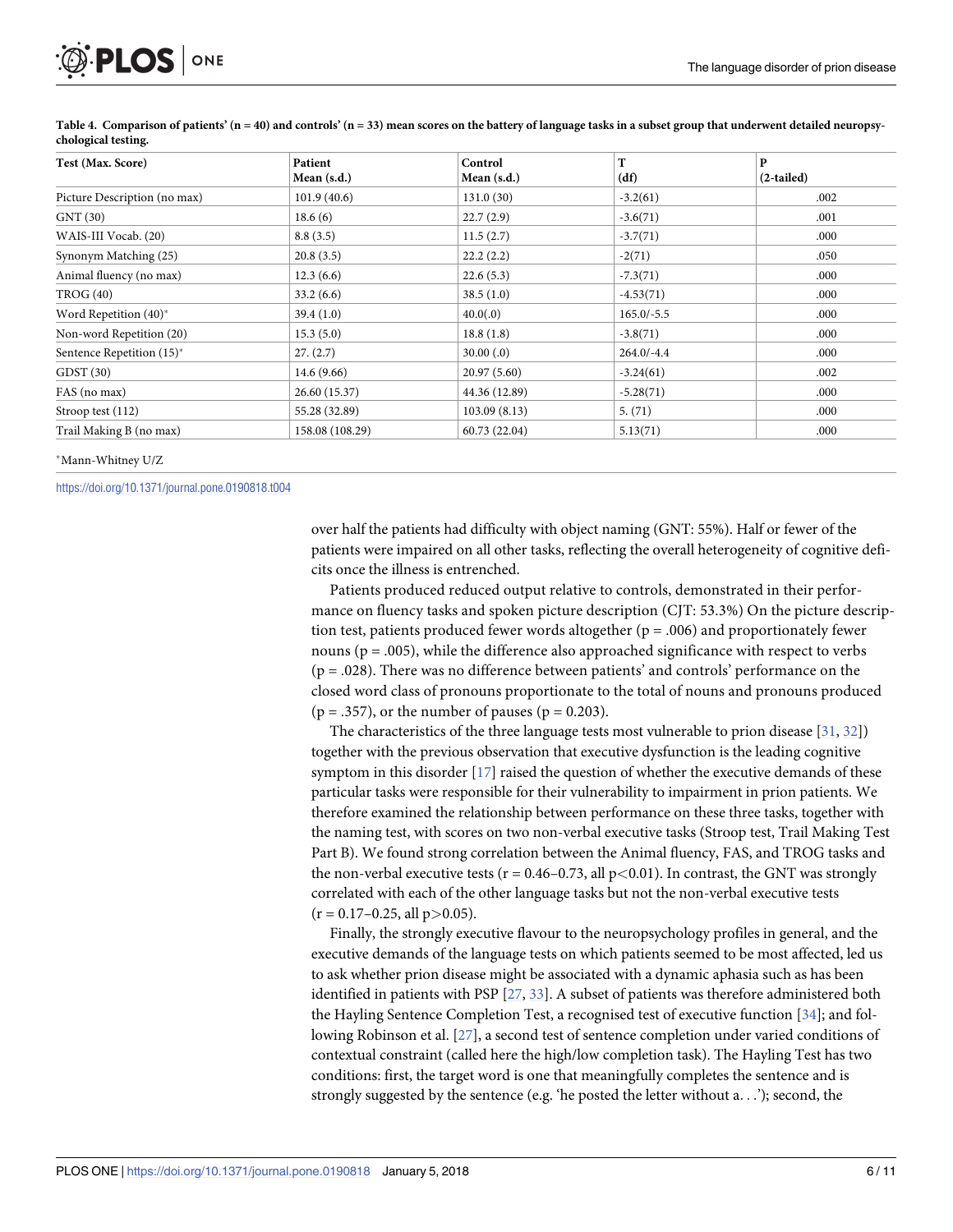<span id="page-5-0"></span>

| Test (Max. Score)            | Patient         | Control       | T            | P            |  |
|------------------------------|-----------------|---------------|--------------|--------------|--|
|                              | Mean $(s.d.)$   | Mean (s.d.)   | (df)         | $(2-tailed)$ |  |
| Picture Description (no max) | 101.9(40.6)     | 131.0(30)     | $-3.2(61)$   | .002         |  |
| GNT(30)                      | 18.6(6)         | 22.7(2.9)     | $-3.6(71)$   | .001         |  |
| WAIS-III Vocab. (20)         | 8.8(3.5)        | 11.5(2.7)     | $-3.7(71)$   | .000         |  |
| Synonym Matching (25)        | 20.8(3.5)       | 22.2(2.2)     | $-2(71)$     | .050         |  |
| Animal fluency (no max)      | 12.3(6.6)       | 22.6(5.3)     | $-7.3(71)$   | .000         |  |
| <b>TROG (40)</b>             | 33.2(6.6)       | 38.5(1.0)     | $-4.53(71)$  | .000         |  |
| Word Repetition $(40)^*$     | 39.4(1.0)       | 40.0(.0)      | $165.0/-5.5$ | .000         |  |
| Non-word Repetition (20)     | 15.3(5.0)       | 18.8(1.8)     | $-3.8(71)$   | .000         |  |
| Sentence Repetition (15)*    | 27. (2.7)       | 30.00(.0)     | $264.0/-4.4$ | .000         |  |
| GDST(30)                     | 14.6(9.66)      | 20.97(5.60)   | $-3.24(61)$  | .002         |  |
| FAS (no max)                 | 26.60 (15.37)   | 44.36 (12.89) | $-5.28(71)$  | .000         |  |
| Stroop test $(112)$          | 55.28 (32.89)   | 103.09(8.13)  | 5. (71)      | .000         |  |
| Trail Making B (no max)      | 158.08 (108.29) | 60.73 (22.04) | 5.13(71)     | .000         |  |

[Table](#page-4-0) 4. Comparison of patients' (n = 40) and controls' (n = 33) mean scores on the battery of language tasks in a subset group that underwent detailed neuropsy**chological testing.**

Mann-Whitney U/Z

<https://doi.org/10.1371/journal.pone.0190818.t004>

over half the patients had difficulty with object naming (GNT: 55%). Half or fewer of the patients were impaired on all other tasks, reflecting the overall heterogeneity of cognitive deficits once the illness is entrenched.

Patients produced reduced output relative to controls, demonstrated in their performance on fluency tasks and spoken picture description (CJT: 53.3%) On the picture description test, patients produced fewer words altogether ( $p = .006$ ) and proportionately fewer nouns ( $p = .005$ ), while the difference also approached significance with respect to verbs  $(p = .028)$ . There was no difference between patients' and controls' performance on the closed word class of pronouns proportionate to the total of nouns and pronouns produced  $(p = .357)$ , or the number of pauses  $(p = 0.203)$ .

The characteristics of the three language tests most vulnerable to prion disease [[31](#page-10-0), [32](#page-10-0)]) together with the previous observation that executive dysfunction is the leading cognitive symptom in this disorder [\[17\]](#page-10-0) raised the question of whether the executive demands of these particular tasks were responsible for their vulnerability to impairment in prion patients. We therefore examined the relationship between performance on these three tasks, together with the naming test, with scores on two non-verbal executive tasks (Stroop test, Trail Making Test Part B). We found strong correlation between the Animal fluency, FAS, and TROG tasks and the non-verbal executive tests (r = 0.46–0.73, all p*<*0.01). In contrast, the GNT was strongly correlated with each of the other language tasks but not the non-verbal executive tests (r = 0.17–0.25, all p*>*0.05).

Finally, the strongly executive flavour to the neuropsychology profiles in general, and the executive demands of the language tests on which patients seemed to be most affected, led us to ask whether prion disease might be associated with a dynamic aphasia such as has been identified in patients with PSP [\[27,](#page-10-0) [33\]](#page-10-0). A subset of patients was therefore administered both the Hayling Sentence Completion Test, a recognised test of executive function [\[34\]](#page-10-0); and following Robinson et al. [\[27\]](#page-10-0), a second test of sentence completion under varied conditions of contextual constraint (called here the high/low completion task). The Hayling Test has two conditions: first, the target word is one that meaningfully completes the sentence and is strongly suggested by the sentence (e.g. 'he posted the letter without a. . .'); second, the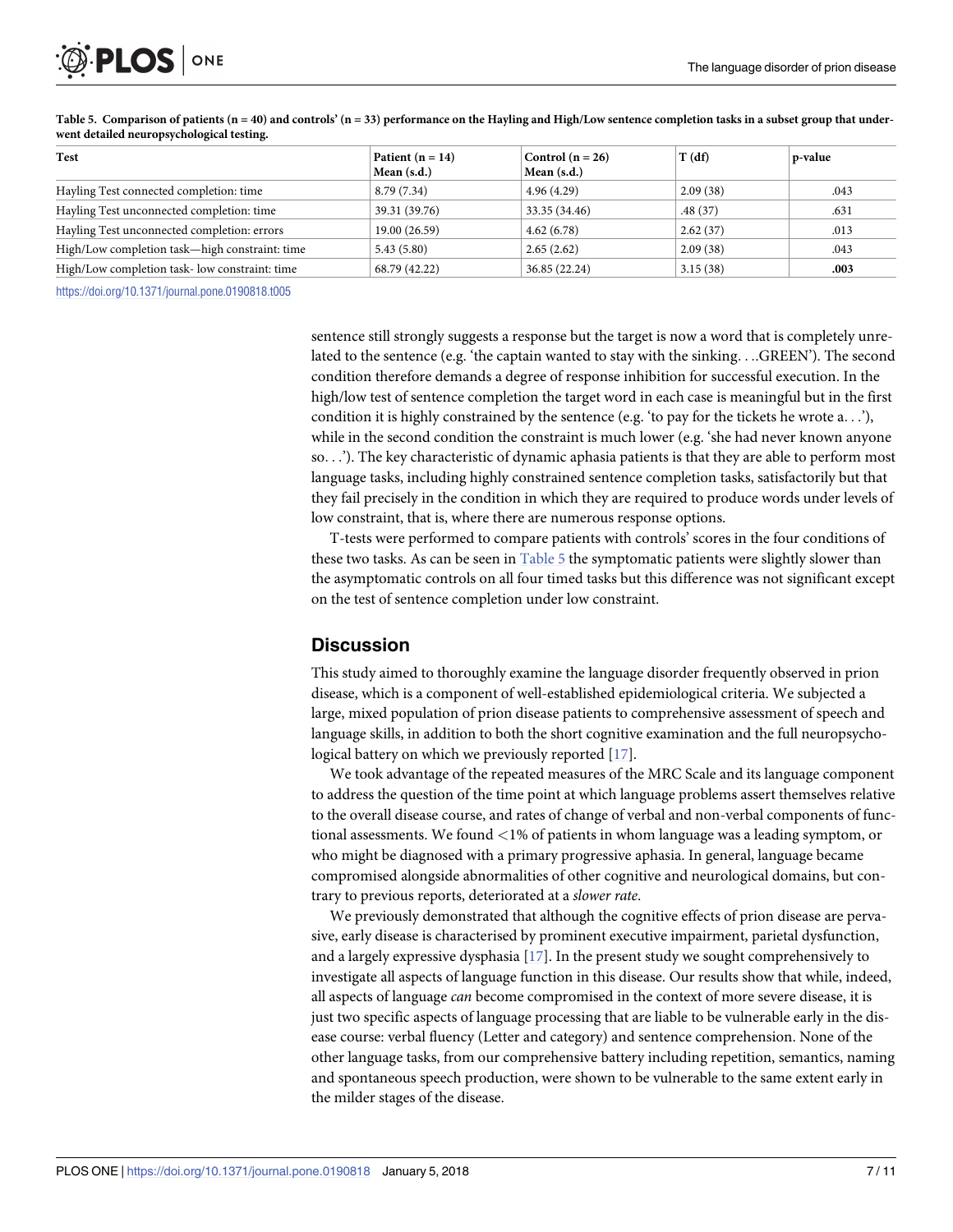

| Patient $(n = 14)$<br>Mean (s.d.) |               |                                   | p-value |
|-----------------------------------|---------------|-----------------------------------|---------|
| 8.79 (7.34)                       | 4.96(4.29)    | 2.09(38)                          | .043    |
| 39.31 (39.76)                     | 33.35 (34.46) | .48(37)                           | .631    |
| 19.00 (26.59)                     | 4.62(6.78)    | 2.62(37)                          | .013    |
| 5.43(5.80)                        | 2.65(2.62)    | 2.09(38)                          | .043    |
| 68.79 (42.22)                     | 36.85 (22.24) | 3.15(38)                          | .003    |
|                                   |               | Control $(n = 26)$<br>Mean (s.d.) | T(df)   |

#### Table 5. Comparison of patients (n = 40) and controls' (n = 33) performance on the Hayling and High/Low sentence completion tasks in a subset group that under**went detailed neuropsychological testing.**

<https://doi.org/10.1371/journal.pone.0190818.t005>

sentence still strongly suggests a response but the target is now a word that is completely unrelated to the sentence (e.g. 'the captain wanted to stay with the sinking. . ..GREEN'). The second condition therefore demands a degree of response inhibition for successful execution. In the high/low test of sentence completion the target word in each case is meaningful but in the first condition it is highly constrained by the sentence (e.g. 'to pay for the tickets he wrote a. . .'), while in the second condition the constraint is much lower (e.g. 'she had never known anyone so. . .'). The key characteristic of dynamic aphasia patients is that they are able to perform most language tasks, including highly constrained sentence completion tasks, satisfactorily but that they fail precisely in the condition in which they are required to produce words under levels of low constraint, that is, where there are numerous response options.

T-tests were performed to compare patients with controls' scores in the four conditions of these two tasks. As can be seen in Table 5 the symptomatic patients were slightly slower than the asymptomatic controls on all four timed tasks but this difference was not significant except on the test of sentence completion under low constraint.

# **Discussion**

This study aimed to thoroughly examine the language disorder frequently observed in prion disease, which is a component of well-established epidemiological criteria. We subjected a large, mixed population of prion disease patients to comprehensive assessment of speech and language skills, in addition to both the short cognitive examination and the full neuropsychological battery on which we previously reported [\[17\]](#page-10-0).

We took advantage of the repeated measures of the MRC Scale and its language component to address the question of the time point at which language problems assert themselves relative to the overall disease course, and rates of change of verbal and non-verbal components of functional assessments. We found *<*1% of patients in whom language was a leading symptom, or who might be diagnosed with a primary progressive aphasia. In general, language became compromised alongside abnormalities of other cognitive and neurological domains, but contrary to previous reports, deteriorated at a *slower rate*.

We previously demonstrated that although the cognitive effects of prion disease are pervasive, early disease is characterised by prominent executive impairment, parietal dysfunction, and a largely expressive dysphasia [[17](#page-10-0)]. In the present study we sought comprehensively to investigate all aspects of language function in this disease. Our results show that while, indeed, all aspects of language *can* become compromised in the context of more severe disease, it is just two specific aspects of language processing that are liable to be vulnerable early in the disease course: verbal fluency (Letter and category) and sentence comprehension. None of the other language tasks, from our comprehensive battery including repetition, semantics, naming and spontaneous speech production, were shown to be vulnerable to the same extent early in the milder stages of the disease.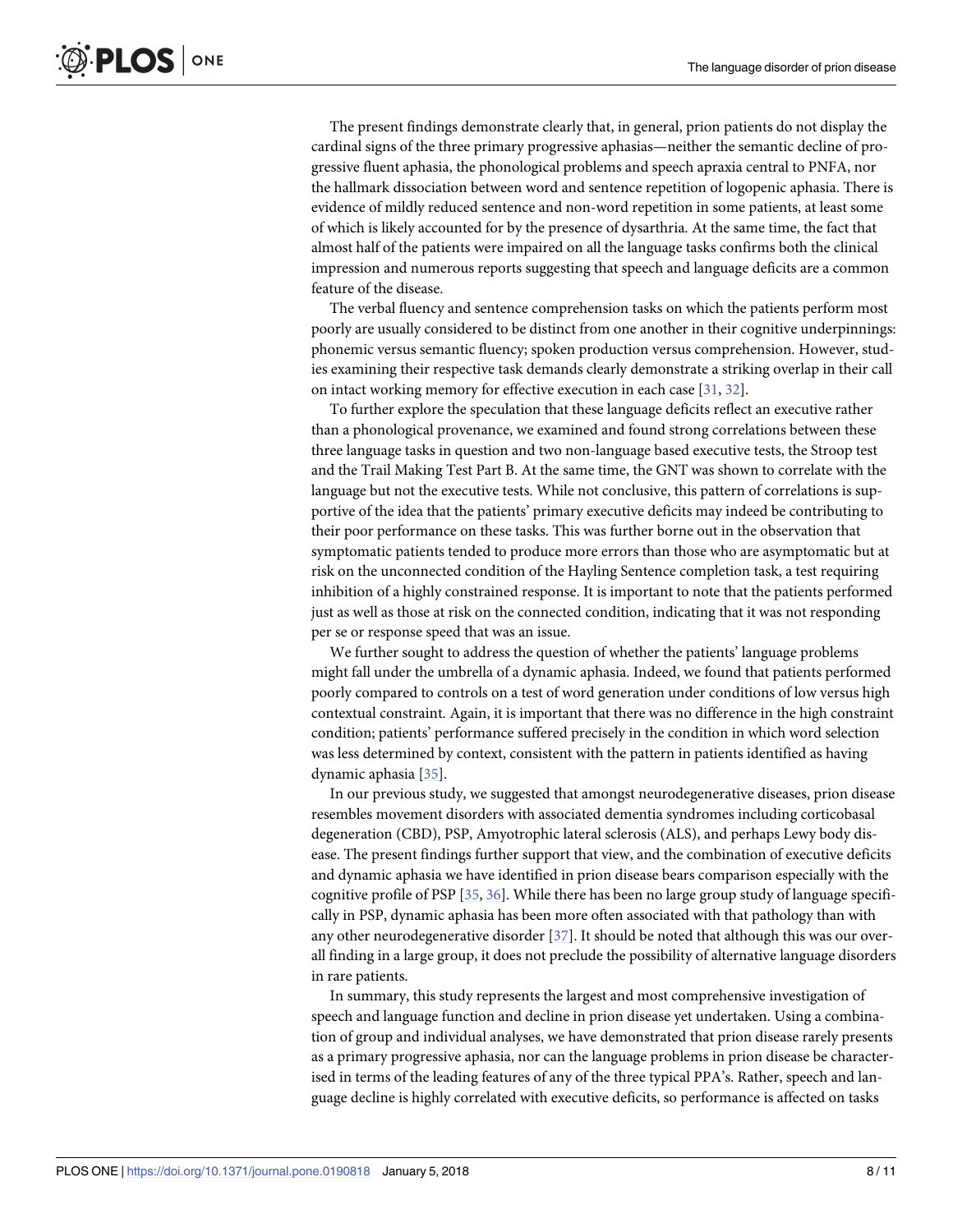<span id="page-7-0"></span>The present findings demonstrate clearly that, in general, prion patients do not display the cardinal signs of the three primary progressive aphasias—neither the semantic decline of progressive fluent aphasia, the phonological problems and speech apraxia central to PNFA, nor the hallmark dissociation between word and sentence repetition of logopenic aphasia. There is evidence of mildly reduced sentence and non-word repetition in some patients, at least some of which is likely accounted for by the presence of dysarthria. At the same time, the fact that almost half of the patients were impaired on all the language tasks confirms both the clinical impression and numerous reports suggesting that speech and language deficits are a common feature of the disease.

The verbal fluency and sentence comprehension tasks on which the patients perform most poorly are usually considered to be distinct from one another in their cognitive underpinnings: phonemic versus semantic fluency; spoken production versus comprehension. However, studies examining their respective task demands clearly demonstrate a striking overlap in their call on intact working memory for effective execution in each case [\[31,](#page-10-0) [32\]](#page-10-0).

To further explore the speculation that these language deficits reflect an executive rather than a phonological provenance, we examined and found strong correlations between these three language tasks in question and two non-language based executive tests, the Stroop test and the Trail Making Test Part B. At the same time, the GNT was shown to correlate with the language but not the executive tests. While not conclusive, this pattern of correlations is supportive of the idea that the patients' primary executive deficits may indeed be contributing to their poor performance on these tasks. This was further borne out in the observation that symptomatic patients tended to produce more errors than those who are asymptomatic but at risk on the unconnected condition of the Hayling Sentence completion task, a test requiring inhibition of a highly constrained response. It is important to note that the patients performed just as well as those at risk on the connected condition, indicating that it was not responding per se or response speed that was an issue.

We further sought to address the question of whether the patients' language problems might fall under the umbrella of a dynamic aphasia. Indeed, we found that patients performed poorly compared to controls on a test of word generation under conditions of low versus high contextual constraint. Again, it is important that there was no difference in the high constraint condition; patients' performance suffered precisely in the condition in which word selection was less determined by context, consistent with the pattern in patients identified as having dynamic aphasia [\[35\]](#page-10-0).

In our previous study, we suggested that amongst neurodegenerative diseases, prion disease resembles movement disorders with associated dementia syndromes including corticobasal degeneration (CBD), PSP, Amyotrophic lateral sclerosis (ALS), and perhaps Lewy body disease. The present findings further support that view, and the combination of executive deficits and dynamic aphasia we have identified in prion disease bears comparison especially with the cognitive profile of PSP [[35](#page-10-0), [36\]](#page-10-0). While there has been no large group study of language specifically in PSP, dynamic aphasia has been more often associated with that pathology than with any other neurodegenerative disorder [[37](#page-10-0)]. It should be noted that although this was our overall finding in a large group, it does not preclude the possibility of alternative language disorders in rare patients.

In summary, this study represents the largest and most comprehensive investigation of speech and language function and decline in prion disease yet undertaken. Using a combination of group and individual analyses, we have demonstrated that prion disease rarely presents as a primary progressive aphasia, nor can the language problems in prion disease be characterised in terms of the leading features of any of the three typical PPA's. Rather, speech and language decline is highly correlated with executive deficits, so performance is affected on tasks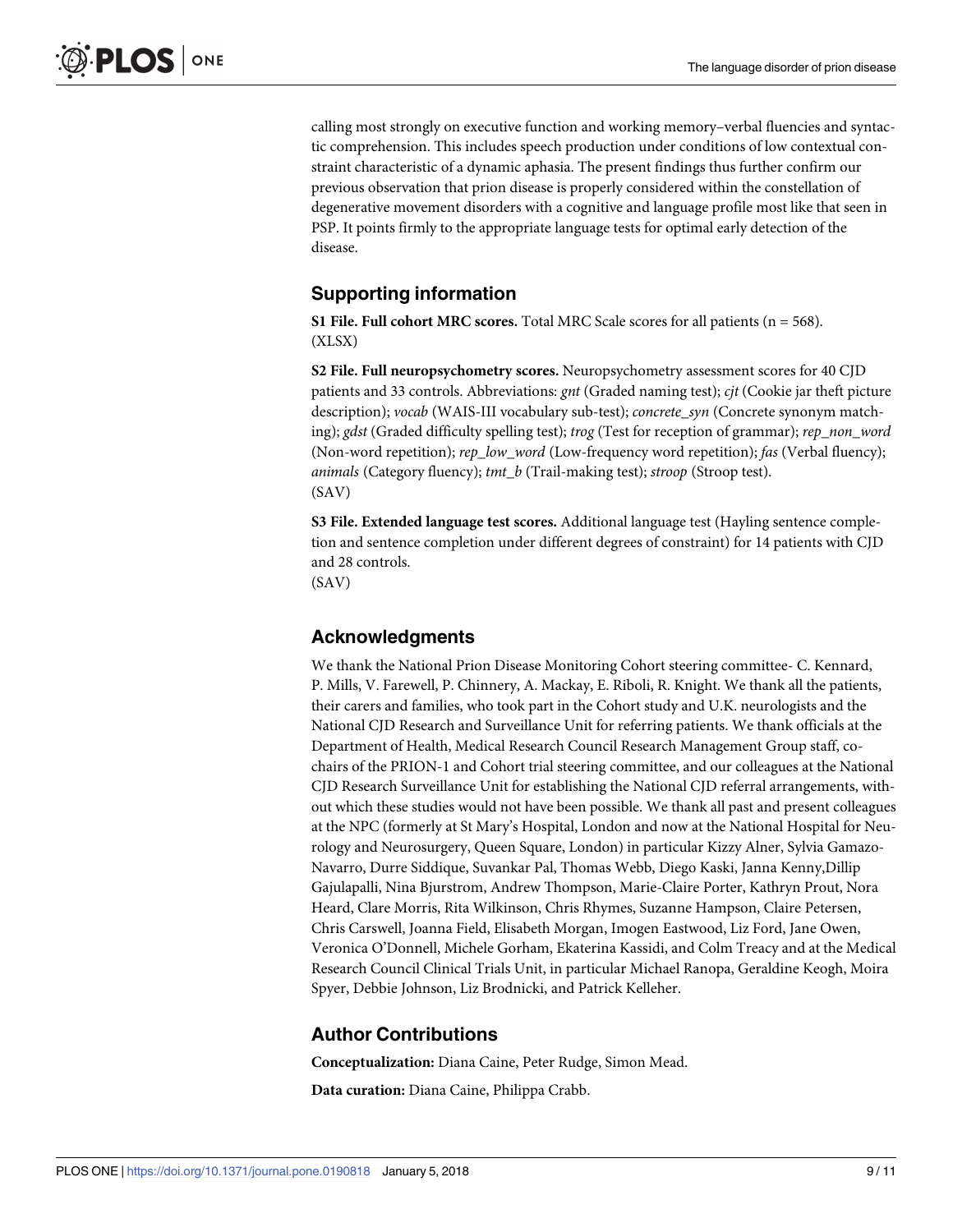calling most strongly on executive function and working memory–verbal fluencies and syntactic comprehension. This includes speech production under conditions of low contextual constraint characteristic of a dynamic aphasia. The present findings thus further confirm our previous observation that prion disease is properly considered within the constellation of degenerative movement disorders with a cognitive and language profile most like that seen in PSP. It points firmly to the appropriate language tests for optimal early detection of the disease.

# **Supporting information**

**S1 [File.](http://www.plosone.org/article/fetchSingleRepresentation.action?uri=info:doi/10.1371/journal.pone.0190818.s001) Full cohort MRC scores.** Total MRC Scale scores for all patients (n = 568). (XLSX)

**S2 [File.](http://www.plosone.org/article/fetchSingleRepresentation.action?uri=info:doi/10.1371/journal.pone.0190818.s002) Full neuropsychometry scores.** Neuropsychometry assessment scores for 40 CJD patients and 33 controls. Abbreviations: *gnt* (Graded naming test); *cjt* (Cookie jar theft picture description); *vocab* (WAIS-III vocabulary sub-test); *concrete\_syn* (Concrete synonym matching); *gdst* (Graded difficulty spelling test); *trog* (Test for reception of grammar); *rep\_non\_word* (Non-word repetition); *rep\_low\_word* (Low-frequency word repetition); *fas* (Verbal fluency); *animals* (Category fluency); *tmt\_b* (Trail-making test); *stroop* (Stroop test). (SAV)

**S3 [File.](http://www.plosone.org/article/fetchSingleRepresentation.action?uri=info:doi/10.1371/journal.pone.0190818.s003) Extended language test scores.** Additional language test (Hayling sentence completion and sentence completion under different degrees of constraint) for 14 patients with CJD and 28 controls.

(SAV)

# **Acknowledgments**

We thank the National Prion Disease Monitoring Cohort steering committee- C. Kennard, P. Mills, V. Farewell, P. Chinnery, A. Mackay, E. Riboli, R. Knight. We thank all the patients, their carers and families, who took part in the Cohort study and U.K. neurologists and the National CJD Research and Surveillance Unit for referring patients. We thank officials at the Department of Health, Medical Research Council Research Management Group staff, cochairs of the PRION-1 and Cohort trial steering committee, and our colleagues at the National CJD Research Surveillance Unit for establishing the National CJD referral arrangements, without which these studies would not have been possible. We thank all past and present colleagues at the NPC (formerly at St Mary's Hospital, London and now at the National Hospital for Neurology and Neurosurgery, Queen Square, London) in particular Kizzy Alner, Sylvia Gamazo-Navarro, Durre Siddique, Suvankar Pal, Thomas Webb, Diego Kaski, Janna Kenny,Dillip Gajulapalli, Nina Bjurstrom, Andrew Thompson, Marie-Claire Porter, Kathryn Prout, Nora Heard, Clare Morris, Rita Wilkinson, Chris Rhymes, Suzanne Hampson, Claire Petersen, Chris Carswell, Joanna Field, Elisabeth Morgan, Imogen Eastwood, Liz Ford, Jane Owen, Veronica O'Donnell, Michele Gorham, Ekaterina Kassidi, and Colm Treacy and at the Medical Research Council Clinical Trials Unit, in particular Michael Ranopa, Geraldine Keogh, Moira Spyer, Debbie Johnson, Liz Brodnicki, and Patrick Kelleher.

# **Author Contributions**

**Conceptualization:** Diana Caine, Peter Rudge, Simon Mead.

**Data curation:** Diana Caine, Philippa Crabb.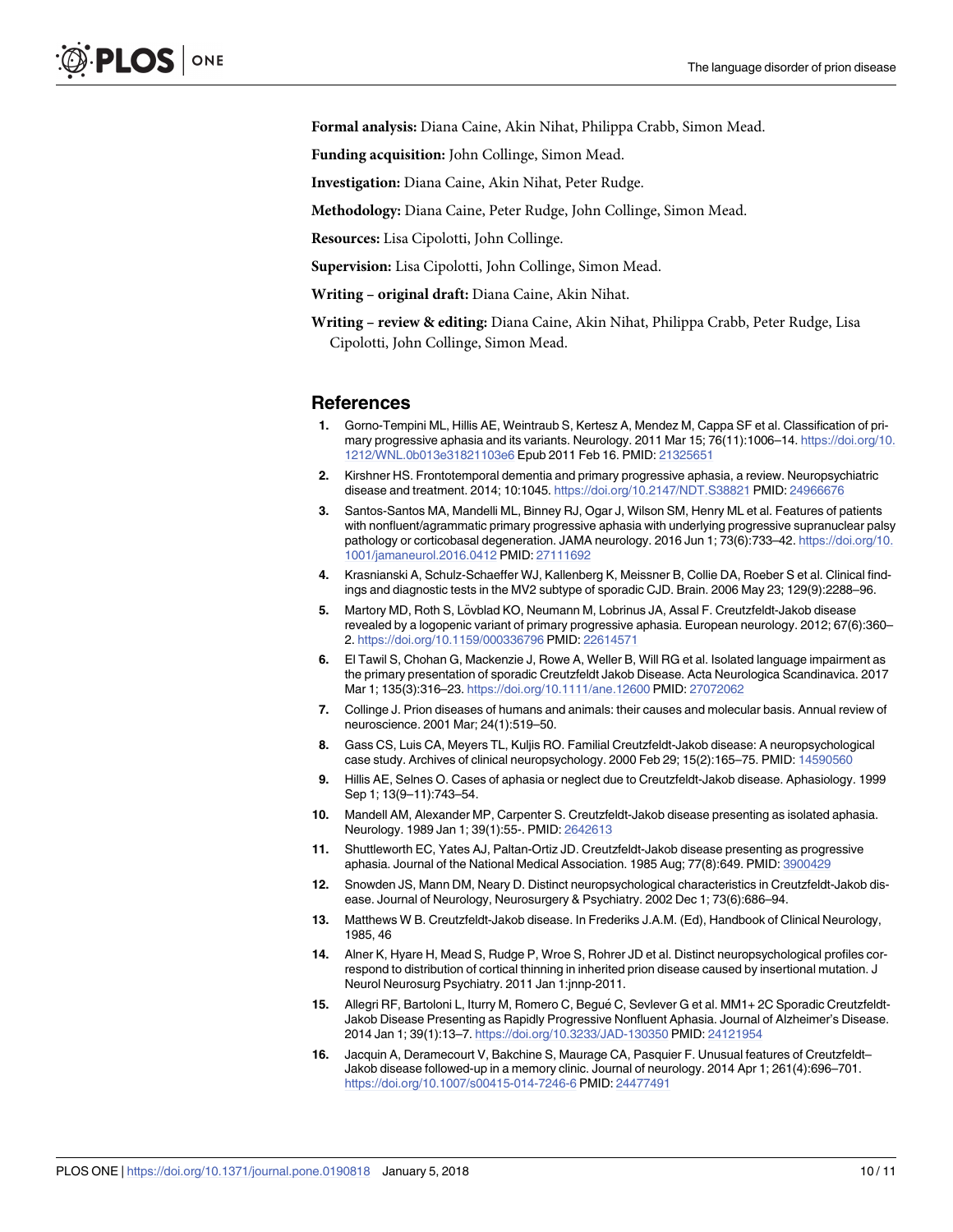<span id="page-9-0"></span>**Formal analysis:** Diana Caine, Akin Nihat, Philippa Crabb, Simon Mead.

**Funding acquisition:** John Collinge, Simon Mead.

**Investigation:** Diana Caine, Akin Nihat, Peter Rudge.

**Methodology:** Diana Caine, Peter Rudge, John Collinge, Simon Mead.

**Resources:** Lisa Cipolotti, John Collinge.

**Supervision:** Lisa Cipolotti, John Collinge, Simon Mead.

**Writing – original draft:** Diana Caine, Akin Nihat.

**Writing – review & editing:** Diana Caine, Akin Nihat, Philippa Crabb, Peter Rudge, Lisa Cipolotti, John Collinge, Simon Mead.

### **References**

- **[1](#page-1-0).** Gorno-Tempini ML, Hillis AE, Weintraub S, Kertesz A, Mendez M, Cappa SF et al. Classification of primary progressive aphasia and its variants. Neurology. 2011 Mar 15; 76(11):1006–14. [https://doi.org/10.](https://doi.org/10.1212/WNL.0b013e31821103e6) [1212/WNL.0b013e31821103e6](https://doi.org/10.1212/WNL.0b013e31821103e6) Epub 2011 Feb 16. PMID: [21325651](http://www.ncbi.nlm.nih.gov/pubmed/21325651)
- **[2](#page-1-0).** Kirshner HS. Frontotemporal dementia and primary progressive aphasia, a review. Neuropsychiatric disease and treatment. 2014; 10:1045. <https://doi.org/10.2147/NDT.S38821> PMID: [24966676](http://www.ncbi.nlm.nih.gov/pubmed/24966676)
- **[3](#page-1-0).** Santos-Santos MA, Mandelli ML, Binney RJ, Ogar J, Wilson SM, Henry ML et al. Features of patients with nonfluent/agrammatic primary progressive aphasia with underlying progressive supranuclear palsy pathology or corticobasal degeneration. JAMA neurology. 2016 Jun 1; 73(6):733–42. [https://doi.org/10.](https://doi.org/10.1001/jamaneurol.2016.0412) [1001/jamaneurol.2016.0412](https://doi.org/10.1001/jamaneurol.2016.0412) PMID: [27111692](http://www.ncbi.nlm.nih.gov/pubmed/27111692)
- **4.** Krasnianski A, Schulz-Schaeffer WJ, Kallenberg K, Meissner B, Collie DA, Roeber S et al. Clinical findings and diagnostic tests in the MV2 subtype of sporadic CJD. Brain. 2006 May 23; 129(9):2288–96.
- **[5](#page-1-0).** Martory MD, Roth S, Lövblad KO, Neumann M, Lobrinus JA, Assal F. Creutzfeldt-Jakob disease revealed by a logopenic variant of primary progressive aphasia. European neurology. 2012; 67(6):360– 2. <https://doi.org/10.1159/000336796> PMID: [22614571](http://www.ncbi.nlm.nih.gov/pubmed/22614571)
- **[6](#page-1-0).** El Tawil S, Chohan G, Mackenzie J, Rowe A, Weller B, Will RG et al. Isolated language impairment as the primary presentation of sporadic Creutzfeldt Jakob Disease. Acta Neurologica Scandinavica. 2017 Mar 1; 135(3):316–23. <https://doi.org/10.1111/ane.12600> PMID: [27072062](http://www.ncbi.nlm.nih.gov/pubmed/27072062)
- **[7](#page-1-0).** Collinge J. Prion diseases of humans and animals: their causes and molecular basis. Annual review of neuroscience. 2001 Mar; 24(1):519–50.
- **[8](#page-1-0).** Gass CS, Luis CA, Meyers TL, Kuljis RO. Familial Creutzfeldt-Jakob disease: A neuropsychological case study. Archives of clinical neuropsychology. 2000 Feb 29; 15(2):165–75. PMID: [14590560](http://www.ncbi.nlm.nih.gov/pubmed/14590560)
- **9.** Hillis AE, Selnes O. Cases of aphasia or neglect due to Creutzfeldt-Jakob disease. Aphasiology. 1999 Sep 1; 13(9–11):743–54.
- **10.** Mandell AM, Alexander MP, Carpenter S. Creutzfeldt-Jakob disease presenting as isolated aphasia. Neurology. 1989 Jan 1; 39(1):55-. PMID: [2642613](http://www.ncbi.nlm.nih.gov/pubmed/2642613)
- **11.** Shuttleworth EC, Yates AJ, Paltan-Ortiz JD. Creutzfeldt-Jakob disease presenting as progressive aphasia. Journal of the National Medical Association. 1985 Aug; 77(8):649. PMID: [3900429](http://www.ncbi.nlm.nih.gov/pubmed/3900429)
- **[12](#page-1-0).** Snowden JS, Mann DM, Neary D. Distinct neuropsychological characteristics in Creutzfeldt-Jakob disease. Journal of Neurology, Neurosurgery & Psychiatry. 2002 Dec 1; 73(6):686–94.
- **[13](#page-1-0).** Matthews W B. Creutzfeldt-Jakob disease. In Frederiks J.A.M. (Ed), Handbook of Clinical Neurology, 1985, 46
- **[14](#page-1-0).** Alner K, Hyare H, Mead S, Rudge P, Wroe S, Rohrer JD et al. Distinct neuropsychological profiles correspond to distribution of cortical thinning in inherited prion disease caused by insertional mutation. J Neurol Neurosurg Psychiatry. 2011 Jan 1:jnnp-2011.
- **[15](#page-1-0).** Allegri RF, Bartoloni L, Iturry M, Romero C, Begué C, Sevlever G et al. MM1+ 2C Sporadic Creutzfeldt-Jakob Disease Presenting as Rapidly Progressive Nonfluent Aphasia. Journal of Alzheimer's Disease. 2014 Jan 1; 39(1):13–7. <https://doi.org/10.3233/JAD-130350> PMID: [24121954](http://www.ncbi.nlm.nih.gov/pubmed/24121954)
- **[16](#page-1-0).** Jacquin A, Deramecourt V, Bakchine S, Maurage CA, Pasquier F. Unusual features of Creutzfeldt– Jakob disease followed-up in a memory clinic. Journal of neurology. 2014 Apr 1; 261(4):696–701. <https://doi.org/10.1007/s00415-014-7246-6> PMID: [24477491](http://www.ncbi.nlm.nih.gov/pubmed/24477491)